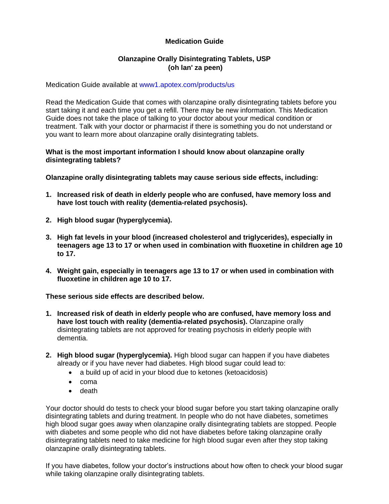# **Medication Guide**

## **Olanzapine Orally Disintegrating Tablets, USP (oh lan' za peen)**

Medication Guide available at<www1.apotex.com/products/us>

Read the Medication Guide that comes with olanzapine orally disintegrating tablets before you start taking it and each time you get a refill. There may be new information. This Medication Guide does not take the place of talking to your doctor about your medical condition or treatment. Talk with your doctor or pharmacist if there is something you do not understand or you want to learn more about olanzapine orally disintegrating tablets.

### **What is the most important information I should know about olanzapine orally disintegrating tablets?**

**Olanzapine orally disintegrating tablets may cause serious side effects, including:** 

- **1. Increased risk of death in elderly people who are confused, have memory loss and have lost touch with reality (dementia-related psychosis).**
- **2. High blood sugar (hyperglycemia).**
- **3. High fat levels in your blood (increased cholesterol and triglycerides), especially in teenagers age 13 to 17 or when used in combination with fluoxetine in children age 10 to 17.**
- **4. Weight gain, especially in teenagers age 13 to 17 or when used in combination with fluoxetine in children age 10 to 17.**

**These serious side effects are described below.**

- **1. Increased risk of death in elderly people who are confused, have memory loss and have lost touch with reality (dementia-related psychosis).** Olanzapine orally disintegrating tablets are not approved for treating psychosis in elderly people with dementia.
- **2. High blood sugar (hyperglycemia).** High blood sugar can happen if you have diabetes already or if you have never had diabetes. High blood sugar could lead to:
	- a build up of acid in your blood due to ketones (ketoacidosis)
	- coma
	- death

Your doctor should do tests to check your blood sugar before you start taking olanzapine orally disintegrating tablets and during treatment. In people who do not have diabetes, sometimes high blood sugar goes away when olanzapine orally disintegrating tablets are stopped. People with diabetes and some people who did not have diabetes before taking olanzapine orally disintegrating tablets need to take medicine for high blood sugar even after they stop taking olanzapine orally disintegrating tablets.

If you have diabetes, follow your doctor's instructions about how often to check your blood sugar while taking olanzapine orally disintegrating tablets.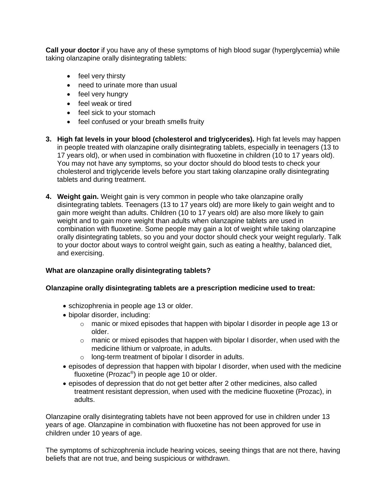**Call your doctor** if you have any of these symptoms of high blood sugar (hyperglycemia) while taking olanzapine orally disintegrating tablets:

- feel very thirsty
- need to urinate more than usual
- feel very hungry
- feel weak or tired
- feel sick to your stomach
- feel confused or your breath smells fruity
- **3. High fat levels in your blood (cholesterol and triglycerides).** High fat levels may happen in people treated with olanzapine orally disintegrating tablets, especially in teenagers (13 to 17 years old), or when used in combination with fluoxetine in children (10 to 17 years old). You may not have any symptoms, so your doctor should do blood tests to check your cholesterol and triglyceride levels before you start taking olanzapine orally disintegrating tablets and during treatment.
- **4. Weight gain.** Weight gain is very common in people who take olanzapine orally disintegrating tablets. Teenagers (13 to 17 years old) are more likely to gain weight and to gain more weight than adults. Children (10 to 17 years old) are also more likely to gain weight and to gain more weight than adults when olanzapine tablets are used in combination with fluoxetine. Some people may gain a lot of weight while taking olanzapine orally disintegrating tablets, so you and your doctor should check your weight regularly. Talk to your doctor about ways to control weight gain, such as eating a healthy, balanced diet, and exercising.

### **What are olanzapine orally disintegrating tablets?**

### **Olanzapine orally disintegrating tablets are a prescription medicine used to treat:**

- schizophrenia in people age 13 or older.
- bipolar disorder, including:
	- $\circ$  manic or mixed episodes that happen with bipolar I disorder in people age 13 or older.
	- $\circ$  manic or mixed episodes that happen with bipolar I disorder, when used with the medicine lithium or valproate, in adults.
	- o long-term treatment of bipolar I disorder in adults.
- episodes of depression that happen with bipolar I disorder, when used with the medicine fluoxetine (Prozac®) in people age 10 or older.
- episodes of depression that do not get better after 2 other medicines, also called treatment resistant depression, when used with the medicine fluoxetine (Prozac), in adults.

Olanzapine orally disintegrating tablets have not been approved for use in children under 13 years of age. Olanzapine in combination with fluoxetine has not been approved for use in children under 10 years of age.

The symptoms of schizophrenia include hearing voices, seeing things that are not there, having beliefs that are not true, and being suspicious or withdrawn.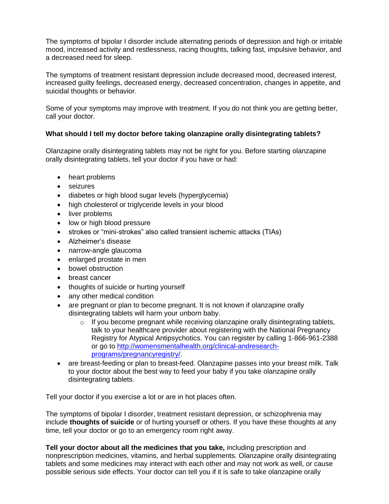The symptoms of bipolar I disorder include alternating periods of depression and high or irritable mood, increased activity and restlessness, racing thoughts, talking fast, impulsive behavior, and a decreased need for sleep.

The symptoms of treatment resistant depression include decreased mood, decreased interest, increased guilty feelings, decreased energy, decreased concentration, changes in appetite, and suicidal thoughts or behavior.

Some of your symptoms may improve with treatment. If you do not think you are getting better, call your doctor.

### **What should I tell my doctor before taking olanzapine orally disintegrating tablets?**

Olanzapine orally disintegrating tablets may not be right for you. Before starting olanzapine orally disintegrating tablets, tell your doctor if you have or had:

- heart problems
- seizures
- diabetes or high blood sugar levels (hyperglycemia)
- high cholesterol or triglyceride levels in your blood
- liver problems
- low or high blood pressure
- strokes or "mini-strokes" also called transient ischemic attacks (TIAs)
- Alzheimer's disease
- narrow-angle glaucoma
- enlarged prostate in men
- bowel obstruction
- breast cancer
- thoughts of suicide or hurting yourself
- any other medical condition
- are pregnant or plan to become pregnant. It is not known if olanzapine orally disintegrating tablets will harm your unborn baby.
	- o If you become pregnant while receiving olanzapine orally disintegrating tablets, talk to your healthcare provider about registering with the National Pregnancy Registry for Atypical Antipsychotics. You can register by calling 1-866-961-2388 or go to [http://womensmentalhealth.org/clinical-andresearch](http://womensmentalhealth.org/clinical-andresearch-programs/pregnancyregistry/)[programs/pregnancyregistry/.](http://womensmentalhealth.org/clinical-andresearch-programs/pregnancyregistry/)
- are breast-feeding or plan to breast-feed. Olanzapine passes into your breast milk. Talk to your doctor about the best way to feed your baby if you take olanzapine orally disintegrating tablets.

Tell your doctor if you exercise a lot or are in hot places often.

The symptoms of bipolar I disorder, treatment resistant depression, or schizophrenia may include **thoughts of suicide** or of hurting yourself or others. If you have these thoughts at any time, tell your doctor or go to an emergency room right away.

**Tell your doctor about all the medicines that you take,** including prescription and nonprescription medicines, vitamins, and herbal supplements. Olanzapine orally disintegrating tablets and some medicines may interact with each other and may not work as well, or cause possible serious side effects. Your doctor can tell you if it is safe to take olanzapine orally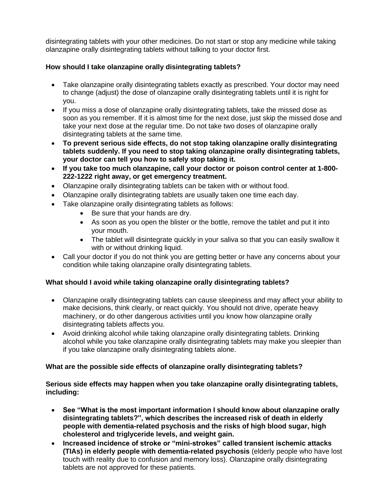disintegrating tablets with your other medicines. Do not start or stop any medicine while taking olanzapine orally disintegrating tablets without talking to your doctor first.

## **How should I take olanzapine orally disintegrating tablets?**

- Take olanzapine orally disintegrating tablets exactly as prescribed. Your doctor may need to change (adjust) the dose of olanzapine orally disintegrating tablets until it is right for you.
- If you miss a dose of olanzapine orally disintegrating tablets, take the missed dose as soon as you remember. If it is almost time for the next dose, just skip the missed dose and take your next dose at the regular time. Do not take two doses of olanzapine orally disintegrating tablets at the same time.
- **To prevent serious side effects, do not stop taking olanzapine orally disintegrating tablets suddenly. If you need to stop taking olanzapine orally disintegrating tablets, your doctor can tell you how to safely stop taking it.**
- **If you take too much olanzapine, call your doctor or poison control center at 1-800- 222-1222 right away, or get emergency treatment.**
- Olanzapine orally disintegrating tablets can be taken with or without food.
- Olanzapine orally disintegrating tablets are usually taken one time each day.
- Take olanzapine orally disintegrating tablets as follows:
	- Be sure that your hands are dry.
	- As soon as you open the blister or the bottle, remove the tablet and put it into your mouth.
	- The tablet will disintegrate quickly in your saliva so that you can easily swallow it with or without drinking liquid.
- Call your doctor if you do not think you are getting better or have any concerns about your condition while taking olanzapine orally disintegrating tablets.

### **What should I avoid while taking olanzapine orally disintegrating tablets?**

- Olanzapine orally disintegrating tablets can cause sleepiness and may affect your ability to make decisions, think clearly, or react quickly. You should not drive, operate heavy machinery, or do other dangerous activities until you know how olanzapine orally disintegrating tablets affects you.
- Avoid drinking alcohol while taking olanzapine orally disintegrating tablets. Drinking alcohol while you take olanzapine orally disintegrating tablets may make you sleepier than if you take olanzapine orally disintegrating tablets alone.

### **What are the possible side effects of olanzapine orally disintegrating tablets?**

### **Serious side effects may happen when you take olanzapine orally disintegrating tablets, including:**

- **See "What is the most important information I should know about olanzapine orally disintegrating tablets?", which describes the increased risk of death in elderly people with dementia-related psychosis and the risks of high blood sugar, high cholesterol and triglyceride levels, and weight gain.**
- **Increased incidence of stroke or "mini-strokes" called transient ischemic attacks (TIAs) in elderly people with dementia-related psychosis** (elderly people who have lost touch with reality due to confusion and memory loss). Olanzapine orally disintegrating tablets are not approved for these patients.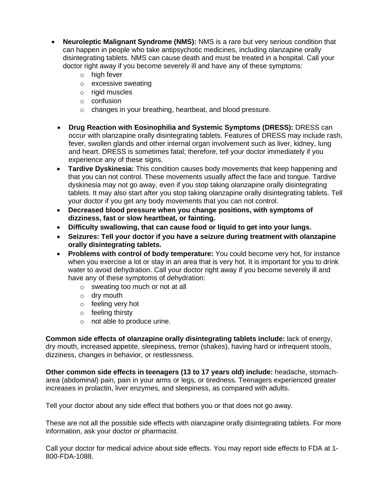- **Neuroleptic Malignant Syndrome (NMS):** NMS is a rare but very serious condition that can happen in people who take antipsychotic medicines, including olanzapine orally disintegrating tablets. NMS can cause death and must be treated in a hospital. Call your doctor right away if you become severely ill and have any of these symptoms:
	- $\circ$  high fever
	- o excessive sweating
	- o rigid muscles
	- o confusion
	- o changes in your breathing, heartbeat, and blood pressure.
	- **Drug Reaction with Eosinophilia and Systemic Symptoms (DRESS):** DRESS can occur with olanzapine orally disintegrating tablets. Features of DRESS may include rash, fever, swollen glands and other internal organ involvement such as liver, kidney, lung and heart. DRESS is sometimes fatal; therefore, tell your doctor immediately if you experience any of these signs.
	- **Tardive Dyskinesia:** This condition causes body movements that keep happening and that you can not control. These movements usually affect the face and tongue. Tardive dyskinesia may not go away, even if you stop taking olanzapine orally disintegrating tablets. It may also start after you stop taking olanzapine orally disintegrating tablets. Tell your doctor if you get any body movements that you can not control.
	- **Decreased blood pressure when you change positions, with symptoms of dizziness, fast or slow heartbeat, or fainting.**
	- **Difficulty swallowing, that can cause food or liquid to get into your lungs.**
	- **Seizures: Tell your doctor if you have a seizure during treatment with olanzapine orally disintegrating tablets.**
	- **Problems with control of body temperature:** You could become very hot, for instance when you exercise a lot or stay in an area that is very hot. It is important for you to drink water to avoid dehydration. Call your doctor right away if you become severely ill and have any of these symptoms of dehydration:
		- o sweating too much or not at all
		- o dry mouth
		- o feeling very hot
		- o feeling thirsty
		- o not able to produce urine.

**Common side effects of olanzapine orally disintegrating tablets include:** lack of energy, dry mouth, increased appetite, sleepiness, tremor (shakes), having hard or infrequent stools, dizziness, changes in behavior, or restlessness.

**Other common side effects in teenagers (13 to 17 years old) include:** headache, stomacharea (abdominal) pain, pain in your arms or legs, or tiredness. Teenagers experienced greater increases in prolactin, liver enzymes, and sleepiness, as compared with adults.

Tell your doctor about any side effect that bothers you or that does not go away.

These are not all the possible side effects with olanzapine orally disintegrating tablets. For more information, ask your doctor or pharmacist.

Call your doctor for medical advice about side effects. You may report side effects to FDA at 1- 800-FDA-1088.